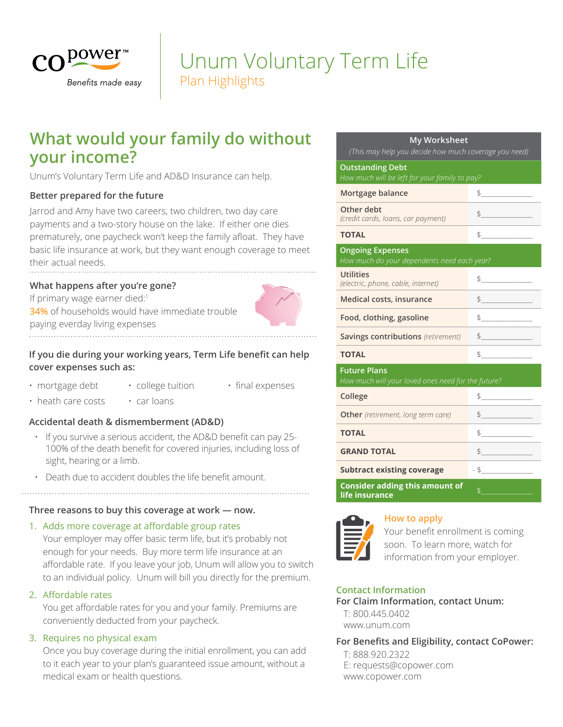

# Plan Highlights Unum Voluntary Term Life

## **What would your family do without your income?**

Unum's Voluntary Term Life and AD&D Insurance can help.

## **Better prepared for the future**

Jarrod and Amy have two careers, two children, two day care payments and a two-story house on the lake. If either one dies prematurely, one paycheck won't keep the family afloat. They have basic life insurance at work, but they want enough coverage to meet their actual needs.

## **What happens after you're gone?**

If primary wage earner died:<sup>1</sup> **34%** of households would have immediate trouble paying everday living expenses

## **If you die during your working years, Term Life benefit can help cover expenses such as:**

- mortgage debt college tuition final expenses
- heath care costs car loans

## **Accidental death & dismemberment (AD&D)**

- If you survive a serious accident, the AD&D benefit can pay 25- 100% of the death benefit for covered injuries, including loss of sight, hearing or a limb.
- Death due to accident doubles the life benefit amount.

## **Three reasons to buy this coverage at work — now.**

## 1. Adds more coverage at affordable group rates

Your employer may offer basic term life, but it's probably not enough for your needs. Buy more term life insurance at an affordable rate. If you leave your job, Unum will allow you to switch to an individual policy. Unum will bill you directly for the premium.

## 2. Affordable rates

You get affordable rates for you and your family. Premiums are conveniently deducted from your paycheck.

## 3. Requires no physical exam

Once you buy coverage during the initial enrollment, you can add to it each year to your plan's guaranteed issue amount, without a medical exam or health questions.

#### **My Worksheet**

*(This may help you decide how much coverage you need)*

### **Outstanding Debt**

| How much will be left for your family to pay?                             |                                                                                                                                                                                                                                                                                                                                               |  |
|---------------------------------------------------------------------------|-----------------------------------------------------------------------------------------------------------------------------------------------------------------------------------------------------------------------------------------------------------------------------------------------------------------------------------------------|--|
| Mortgage balance                                                          | $\frac{1}{2}$                                                                                                                                                                                                                                                                                                                                 |  |
| Other debt<br>(credit cards, loans, car payment)                          | $\frac{1}{2}$                                                                                                                                                                                                                                                                                                                                 |  |
| <b>TOTAL</b>                                                              | $\begin{picture}(20,20) \put(0,0){\line(1,0){100}} \put(15,0){\line(1,0){100}} \put(15,0){\line(1,0){100}} \put(15,0){\line(1,0){100}} \put(15,0){\line(1,0){100}} \put(15,0){\line(1,0){100}} \put(15,0){\line(1,0){100}} \put(15,0){\line(1,0){100}} \put(15,0){\line(1,0){100}} \put(15,0){\line(1,0){100}} \put(15,0){\line(1,0){100}} \$ |  |
| <b>Ongoing Expenses</b><br>How much do your dependents need each year?    |                                                                                                                                                                                                                                                                                                                                               |  |
| <b>Utilities</b><br>(electric, phone, cable, internet)                    | $\frac{1}{2}$                                                                                                                                                                                                                                                                                                                                 |  |
| Medical costs, insurance                                                  | $\frac{1}{2}$                                                                                                                                                                                                                                                                                                                                 |  |
| Food, clothing, gasoline                                                  | $\frac{1}{2}$                                                                                                                                                                                                                                                                                                                                 |  |
| <b>Savings contributions</b> (retirement)                                 | $\begin{array}{c c} \uparrow \end{array}$                                                                                                                                                                                                                                                                                                     |  |
| <b>TOTAL</b>                                                              | $\updownarrow$                                                                                                                                                                                                                                                                                                                                |  |
| <b>Future Plans</b><br>How much will your loved ones need for the future? |                                                                                                                                                                                                                                                                                                                                               |  |
| College                                                                   | $\begin{array}{c} \updownarrow \\ \downarrow \end{array}$                                                                                                                                                                                                                                                                                     |  |
| <b>Other</b> (retirement, long term care)                                 | $\frac{1}{2}$                                                                                                                                                                                                                                                                                                                                 |  |
| <b>TOTAL</b>                                                              | $\frac{1}{2}$                                                                                                                                                                                                                                                                                                                                 |  |
| <b>GRAND TOTAL</b>                                                        | $\frac{1}{2}$                                                                                                                                                                                                                                                                                                                                 |  |
| <b>Subtract existing coverage</b>                                         | $-5$                                                                                                                                                                                                                                                                                                                                          |  |
| <b>Consider adding this amount of</b><br>life insurance                   | $\mathsf{S}$ and $\mathsf{S}$                                                                                                                                                                                                                                                                                                                 |  |



## **How to apply**

Your benefit enrollment is coming soon. To learn more, watch for information from your employer.

## **Contact Information**

## **For Claim Information, contact Unum:** T: 800.445.0402

www.unum.com

#### **For Benefits and Eligibility, contact CoPower:**  T: 888.920.2322

E: requests@copower.com www.copower.com